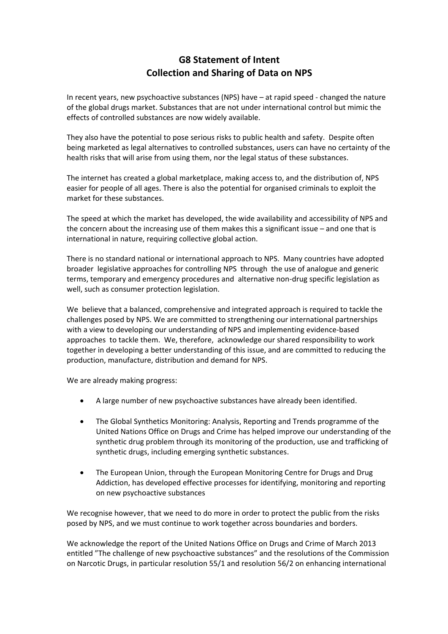## **G8 Statement of Intent Collection and Sharing of Data on NPS**

In recent years, new psychoactive substances (NPS) have – at rapid speed - changed the nature of the global drugs market. Substances that are not under international control but mimic the effects of controlled substances are now widely available.

They also have the potential to pose serious risks to public health and safety. Despite often being marketed as legal alternatives to controlled substances, users can have no certainty of the health risks that will arise from using them, nor the legal status of these substances.

The internet has created a global marketplace, making access to, and the distribution of, NPS easier for people of all ages. There is also the potential for organised criminals to exploit the market for these substances.

The speed at which the market has developed, the wide availability and accessibility of NPS and the concern about the increasing use of them makes this a significant issue – and one that is international in nature, requiring collective global action.

There is no standard national or international approach to NPS. Many countries have adopted broader legislative approaches for controlling NPS through the use of analogue and generic terms, temporary and emergency procedures and alternative non-drug specific legislation as well, such as consumer protection legislation.

We believe that a balanced, comprehensive and integrated approach is required to tackle the challenges posed by NPS. We are committed to strengthening our international partnerships with a view to developing our understanding of NPS and implementing evidence-based approaches to tackle them. We, therefore, acknowledge our shared responsibility to work together in developing a better understanding of this issue, and are committed to reducing the production, manufacture, distribution and demand for NPS.

We are already making progress:

- A large number of new psychoactive substances have already been identified.
- The Global Synthetics Monitoring: Analysis, Reporting and Trends programme of the United Nations Office on Drugs and Crime has helped improve our understanding of the synthetic drug problem through its monitoring of the production, use and trafficking of synthetic drugs, including emerging synthetic substances.
- The European Union, through the European Monitoring Centre for Drugs and Drug Addiction, has developed effective processes for identifying, monitoring and reporting on new psychoactive substances

We recognise however, that we need to do more in order to protect the public from the risks posed by NPS, and we must continue to work together across boundaries and borders.

We acknowledge the report of the United Nations Office on Drugs and Crime of March 2013 entitled "The challenge of new psychoactive substances" and the resolutions of the Commission on Narcotic Drugs, in particular resolution 55/1 and resolution 56/2 on enhancing international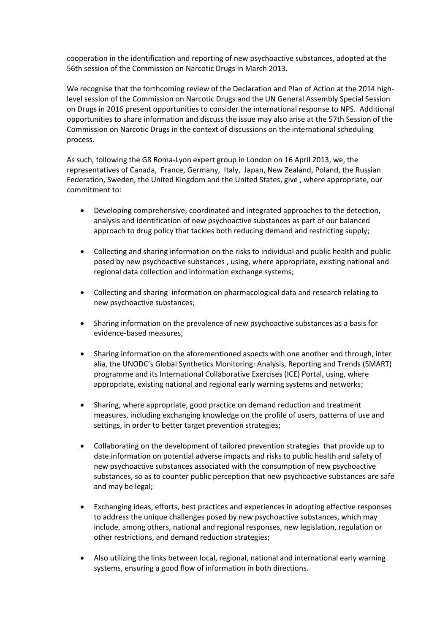cooperation in the identification and reporting of new psychoactive substances, adopted at the 56th session of the Commission on Narcotic Drugs in March 2013.

We recognise that the forthcoming review of the Declaration and Plan of Action at the 2014 highlevel session of the Commission on Narcotic Drugs and the UN General Assembly Special Session on Drugs in 2016 present opportunities to consider the international response to NPS. Additional opportunities to share information and discuss the issue may also arise at the 57th Session of the Commission on Narcotic Drugs in the context of discussions on the international scheduling process.

As such, following the G8 Roma-Lyon expert group in London on 16 April 2013, we, the representatives of Canada, France, Germany, Italy, Japan, New Zealand, Poland, the Russian Federation, Sweden, the United Kingdom and the United States, give , where appropriate, our commitment to:

- Developing comprehensive, coordinated and integrated approaches to the detection, analysis and identification of new psychoactive substances as part of our balanced approach to drug policy that tackles both reducing demand and restricting supply;
- Collecting and sharing information on the risks to individual and public health and public posed by new psychoactive substances , using, where appropriate, existing national and regional data collection and information exchange systems;
- Collecting and sharing information on pharmacological data and research relating to new psychoactive substances;
- Sharing information on the prevalence of new psychoactive substances as a basis for evidence-based measures;
- Sharing information on the aforementioned aspects with one another and through, inter alia, the UNODC's Global Synthetics Monitoring: Analysis, Reporting and Trends (SMART) programme and its International Collaborative Exercises (ICE) Portal, using, where appropriate, existing national and regional early warning systems and networks;
- Sharing, where appropriate, good practice on demand reduction and treatment measures, including exchanging knowledge on the profile of users, patterns of use and settings, in order to better target prevention strategies;
- Collaborating on the development of tailored prevention strategies that provide up to date information on potential adverse impacts and risks to public health and safety of new psychoactive substances associated with the consumption of new psychoactive substances, so as to counter public perception that new psychoactive substances are safe and may be legal;
- Exchanging ideas, efforts, best practices and experiences in adopting effective responses to address the unique challenges posed by new psychoactive substances, which may include, among others, national and regional responses, new legislation, regulation or other restrictions, and demand reduction strategies;
- Also utilizing the links between local, regional, national and international early warning systems, ensuring a good flow of information in both directions.